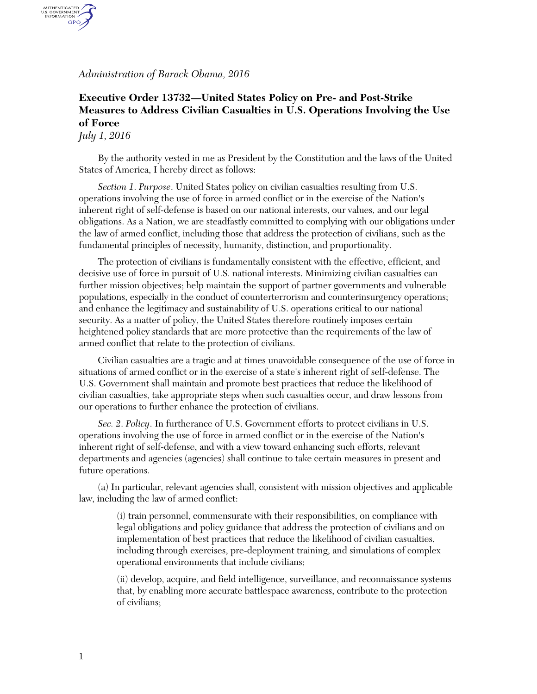*Administration of Barack Obama, 2016*

## **Executive Order 13732—United States Policy on Pre- and Post-Strike Measures to Address Civilian Casualties in U.S. Operations Involving the Use of Force**

*July 1, 2016*

AUTHENTICATED<br>U.S. GOVERNMENT<br>INFORMATION

GPO

By the authority vested in me as President by the Constitution and the laws of the United States of America, I hereby direct as follows:

*Section 1*. *Purpose*. United States policy on civilian casualties resulting from U.S. operations involving the use of force in armed conflict or in the exercise of the Nation's inherent right of self-defense is based on our national interests, our values, and our legal obligations. As a Nation, we are steadfastly committed to complying with our obligations under the law of armed conflict, including those that address the protection of civilians, such as the fundamental principles of necessity, humanity, distinction, and proportionality.

The protection of civilians is fundamentally consistent with the effective, efficient, and decisive use of force in pursuit of U.S. national interests. Minimizing civilian casualties can further mission objectives; help maintain the support of partner governments and vulnerable populations, especially in the conduct of counterterrorism and counterinsurgency operations; and enhance the legitimacy and sustainability of U.S. operations critical to our national security. As a matter of policy, the United States therefore routinely imposes certain heightened policy standards that are more protective than the requirements of the law of armed conflict that relate to the protection of civilians.

Civilian casualties are a tragic and at times unavoidable consequence of the use of force in situations of armed conflict or in the exercise of a state's inherent right of self-defense. The U.S. Government shall maintain and promote best practices that reduce the likelihood of civilian casualties, take appropriate steps when such casualties occur, and draw lessons from our operations to further enhance the protection of civilians.

*Sec. 2*. *Policy*. In furtherance of U.S. Government efforts to protect civilians in U.S. operations involving the use of force in armed conflict or in the exercise of the Nation's inherent right of self-defense, and with a view toward enhancing such efforts, relevant departments and agencies (agencies) shall continue to take certain measures in present and future operations.

(a) In particular, relevant agencies shall, consistent with mission objectives and applicable law, including the law of armed conflict:

(i) train personnel, commensurate with their responsibilities, on compliance with legal obligations and policy guidance that address the protection of civilians and on implementation of best practices that reduce the likelihood of civilian casualties, including through exercises, pre-deployment training, and simulations of complex operational environments that include civilians;

(ii) develop, acquire, and field intelligence, surveillance, and reconnaissance systems that, by enabling more accurate battlespace awareness, contribute to the protection of civilians;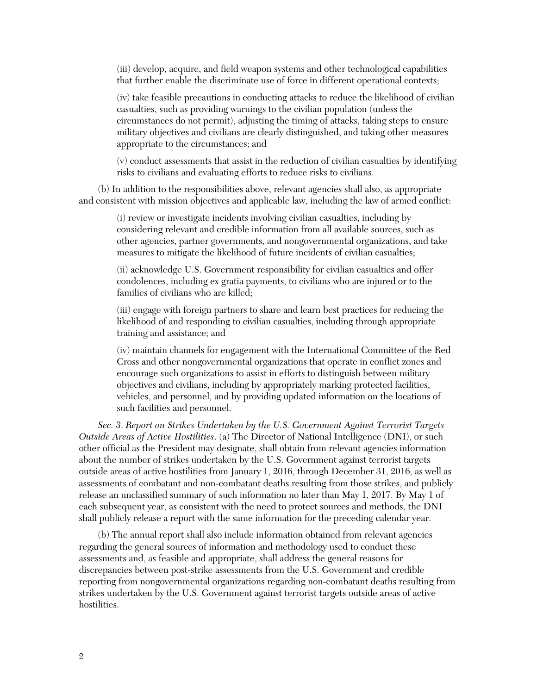(iii) develop, acquire, and field weapon systems and other technological capabilities that further enable the discriminate use of force in different operational contexts;

(iv) take feasible precautions in conducting attacks to reduce the likelihood of civilian casualties, such as providing warnings to the civilian population (unless the circumstances do not permit), adjusting the timing of attacks, taking steps to ensure military objectives and civilians are clearly distinguished, and taking other measures appropriate to the circumstances; and

(v) conduct assessments that assist in the reduction of civilian casualties by identifying risks to civilians and evaluating efforts to reduce risks to civilians.

(b) In addition to the responsibilities above, relevant agencies shall also, as appropriate and consistent with mission objectives and applicable law, including the law of armed conflict:

(i) review or investigate incidents involving civilian casualties, including by considering relevant and credible information from all available sources, such as other agencies, partner governments, and nongovernmental organizations, and take measures to mitigate the likelihood of future incidents of civilian casualties;

(ii) acknowledge U.S. Government responsibility for civilian casualties and offer condolences, including ex gratia payments, to civilians who are injured or to the families of civilians who are killed;

(iii) engage with foreign partners to share and learn best practices for reducing the likelihood of and responding to civilian casualties, including through appropriate training and assistance; and

(iv) maintain channels for engagement with the International Committee of the Red Cross and other nongovernmental organizations that operate in conflict zones and encourage such organizations to assist in efforts to distinguish between military objectives and civilians, including by appropriately marking protected facilities, vehicles, and personnel, and by providing updated information on the locations of such facilities and personnel.

*Sec. 3*. *Report on Strikes Undertaken by the U.S. Government Against Terrorist Targets Outside Areas of Active Hostilities*. (a) The Director of National Intelligence (DNI), or such other official as the President may designate, shall obtain from relevant agencies information about the number of strikes undertaken by the U.S. Government against terrorist targets outside areas of active hostilities from January 1, 2016, through December 31, 2016, as well as assessments of combatant and non-combatant deaths resulting from those strikes, and publicly release an unclassified summary of such information no later than May 1, 2017. By May 1 of each subsequent year, as consistent with the need to protect sources and methods, the DNI shall publicly release a report with the same information for the preceding calendar year.

(b) The annual report shall also include information obtained from relevant agencies regarding the general sources of information and methodology used to conduct these assessments and, as feasible and appropriate, shall address the general reasons for discrepancies between post-strike assessments from the U.S. Government and credible reporting from nongovernmental organizations regarding non-combatant deaths resulting from strikes undertaken by the U.S. Government against terrorist targets outside areas of active hostilities.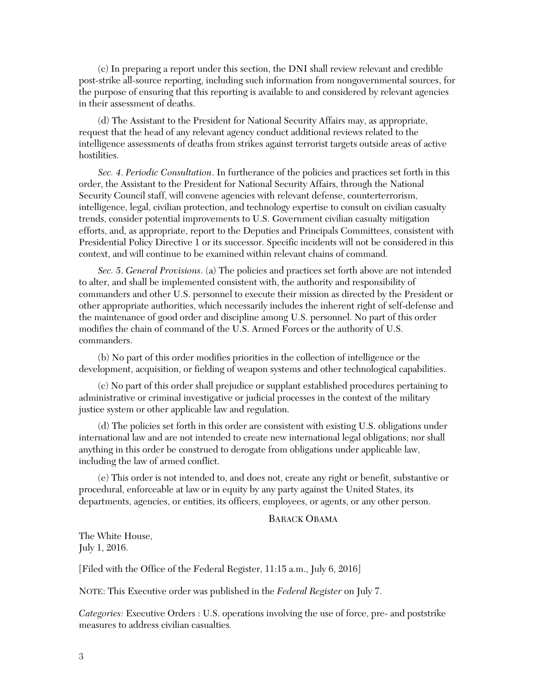(c) In preparing a report under this section, the DNI shall review relevant and credible post-strike all-source reporting, including such information from nongovernmental sources, for the purpose of ensuring that this reporting is available to and considered by relevant agencies in their assessment of deaths.

(d) The Assistant to the President for National Security Affairs may, as appropriate, request that the head of any relevant agency conduct additional reviews related to the intelligence assessments of deaths from strikes against terrorist targets outside areas of active hostilities.

*Sec. 4*. *Periodic Consultation*. In furtherance of the policies and practices set forth in this order, the Assistant to the President for National Security Affairs, through the National Security Council staff, will convene agencies with relevant defense, counterterrorism, intelligence, legal, civilian protection, and technology expertise to consult on civilian casualty trends, consider potential improvements to U.S. Government civilian casualty mitigation efforts, and, as appropriate, report to the Deputies and Principals Committees, consistent with Presidential Policy Directive 1 or its successor. Specific incidents will not be considered in this context, and will continue to be examined within relevant chains of command.

*Sec. 5*. *General Provisions*. (a) The policies and practices set forth above are not intended to alter, and shall be implemented consistent with, the authority and responsibility of commanders and other U.S. personnel to execute their mission as directed by the President or other appropriate authorities, which necessarily includes the inherent right of self-defense and the maintenance of good order and discipline among U.S. personnel. No part of this order modifies the chain of command of the U.S. Armed Forces or the authority of U.S. commanders.

(b) No part of this order modifies priorities in the collection of intelligence or the development, acquisition, or fielding of weapon systems and other technological capabilities.

(c) No part of this order shall prejudice or supplant established procedures pertaining to administrative or criminal investigative or judicial processes in the context of the military justice system or other applicable law and regulation.

(d) The policies set forth in this order are consistent with existing U.S. obligations under international law and are not intended to create new international legal obligations; nor shall anything in this order be construed to derogate from obligations under applicable law, including the law of armed conflict.

(e) This order is not intended to, and does not, create any right or benefit, substantive or procedural, enforceable at law or in equity by any party against the United States, its departments, agencies, or entities, its officers, employees, or agents, or any other person.

## BARACK OBAMA

The White House, July 1, 2016.

[Filed with the Office of the Federal Register, 11:15 a.m., July 6, 2016]

NOTE: This Executive order was published in the *Federal Register* on July 7.

*Categories:* Executive Orders : U.S. operations involving the use of force, pre- and poststrike measures to address civilian casualties*.*